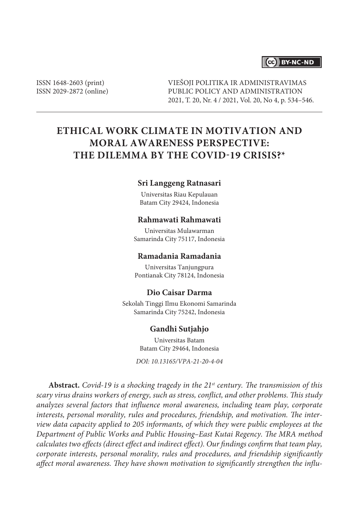# (cc) BY-NC-ND

ISSN 1648-2603 (print) ISSN 2029-2872 (online) VIEŠOJI POLITIKA IR ADMINISTRAVIMAS PUBLIC POLICY AND ADMINISTRATION 2021, T. 20, Nr. 4 / 2021, Vol. 20, No 4, p. 534–546.

# **ETHICAL WORK CLIMATE IN MOTIVATION AND MORAL AWARENESS PERSPECTIVE: THE DILEMMA BY THE COVID-19 CRISIS?\***

## **Sri Langgeng Ratnasari**

Universitas Riau Kepulauan Batam City 29424, Indonesia

## **Rahmawati Rahmawati**

Universitas Mulawarman Samarinda City 75117, Indonesia

#### **Ramadania Ramadania**

Universitas Tanjungpura Pontianak City 78124, Indonesia

# **Dio Caisar Darma**

Sekolah Tinggi Ilmu Ekonomi Samarinda Samarinda City 75242, Indonesia

#### **Gandhi Sutjahjo**

Universitas Batam Batam City 29464, Indonesia

*DOI: 10.13165/VPA-21-20-4-04*

**Abstract.** *Covid-19 is a shocking tragedy in the 21st century. The transmission of this scary virus drains workers of energy, such as stress, conflict, and other problems. This study analyzes several factors that influence moral awareness, including team play, corporate interests, personal morality, rules and procedures, friendship, and motivation. The interview data capacity applied to 205 informants, of which they were public employees at the Department of Public Works and Public Housing–East Kutai Regency. The MRA method calculates two effects (direct effect and indirect effect). Our findings confirm that team play, corporate interests, personal morality, rules and procedures, and friendship significantly affect moral awareness. They have shown motivation to significantly strengthen the influ-*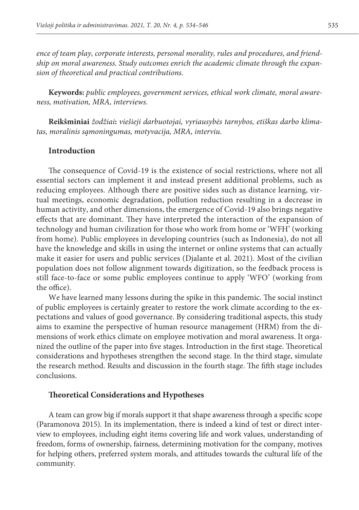*ence of team play, corporate interests, personal morality, rules and procedures, and friendship on moral awareness. Study outcomes enrich the academic climate through the expansion of theoretical and practical contributions.*

**Keywords:** *public employees, government services, ethical work climate, moral awareness, motivation, MRA, interviews.*

**Reikšminiai** *žodžiai***:** *viešieji darbuotojai, vyriausybės tarnybos, etiškas darbo klimatas, moralinis sąmoningumas, motyvacija, MRA, interviu.*

## **Introduction**

The consequence of Covid-19 is the existence of social restrictions, where not all essential sectors can implement it and instead present additional problems, such as reducing employees. Although there are positive sides such as distance learning, virtual meetings, economic degradation, pollution reduction resulting in a decrease in human activity, and other dimensions, the emergence of Covid-19 also brings negative effects that are dominant. They have interpreted the interaction of the expansion of technology and human civilization for those who work from home or 'WFH' (working from home). Public employees in developing countries (such as Indonesia), do not all have the knowledge and skills in using the internet or online systems that can actually make it easier for users and public services (Djalante et al. 2021). Most of the civilian population does not follow alignment towards digitization, so the feedback process is still face-to-face or some public employees continue to apply 'WFO' (working from the office).

We have learned many lessons during the spike in this pandemic. The social instinct of public employees is certainly greater to restore the work climate according to the expectations and values of good governance. By considering traditional aspects, this study aims to examine the perspective of human resource management (HRM) from the dimensions of work ethics climate on employee motivation and moral awareness. It organized the outline of the paper into five stages. Introduction in the first stage. Theoretical considerations and hypotheses strengthen the second stage. In the third stage, simulate the research method. Results and discussion in the fourth stage. The fifth stage includes conclusions.

## **Theoretical Considerations and Hypotheses**

A team can grow big if morals support it that shape awareness through a specific scope (Paramonova 2015). In its implementation, there is indeed a kind of test or direct interview to employees, including eight items covering life and work values, understanding of freedom, forms of ownership, fairness, determining motivation for the company, motives for helping others, preferred system morals, and attitudes towards the cultural life of the community.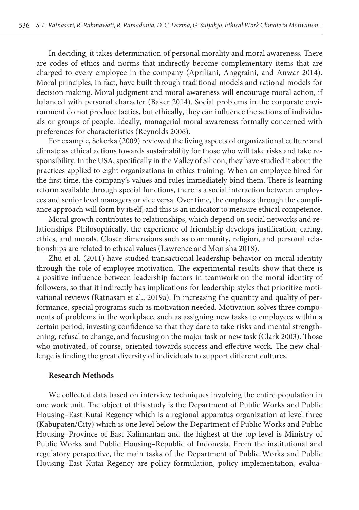In deciding, it takes determination of personal morality and moral awareness. There are codes of ethics and norms that indirectly become complementary items that are charged to every employee in the company (Apriliani, Anggraini, and Anwar 2014). Moral principles, in fact, have built through traditional models and rational models for decision making. Moral judgment and moral awareness will encourage moral action, if balanced with personal character (Baker 2014). Social problems in the corporate environment do not produce tactics, but ethically, they can influence the actions of individuals or groups of people. Ideally, managerial moral awareness formally concerned with preferences for characteristics (Reynolds 2006).

For example, Sekerka (2009) reviewed the living aspects of organizational culture and climate as ethical actions towards sustainability for those who will take risks and take responsibility. In the USA, specifically in the Valley of Silicon, they have studied it about the practices applied to eight organizations in ethics training. When an employee hired for the first time, the company's values and rules immediately bind them. There is learning reform available through special functions, there is a social interaction between employees and senior level managers or vice versa. Over time, the emphasis through the compliance approach will form by itself, and this is an indicator to measure ethical competence.

Moral growth contributes to relationships, which depend on social networks and relationships. Philosophically, the experience of friendship develops justification, caring, ethics, and morals. Closer dimensions such as community, religion, and personal relationships are related to ethical values (Lawrence and Monisha 2018).

Zhu et al. (2011) have studied transactional leadership behavior on moral identity through the role of employee motivation. The experimental results show that there is a positive influence between leadership factors in teamwork on the moral identity of followers, so that it indirectly has implications for leadership styles that prioritize motivational reviews (Ratnasari et al., 2019a). In increasing the quantity and quality of performance, special programs such as motivation needed. Motivation solves three components of problems in the workplace, such as assigning new tasks to employees within a certain period, investing confidence so that they dare to take risks and mental strengthening, refusal to change, and focusing on the major task or new task (Clark 2003). Those who motivated, of course, oriented towards success and effective work. The new challenge is finding the great diversity of individuals to support different cultures.

### **Research Methods**

We collected data based on interview techniques involving the entire population in one work unit. The object of this study is the Department of Public Works and Public Housing–East Kutai Regency which is a regional apparatus organization at level three (Kabupaten/City) which is one level below the Department of Public Works and Public Housing–Province of East Kalimantan and the highest at the top level is Ministry of Public Works and Public Housing–Republic of Indonesia. From the institutional and regulatory perspective, the main tasks of the Department of Public Works and Public Housing–East Kutai Regency are policy formulation, policy implementation, evalua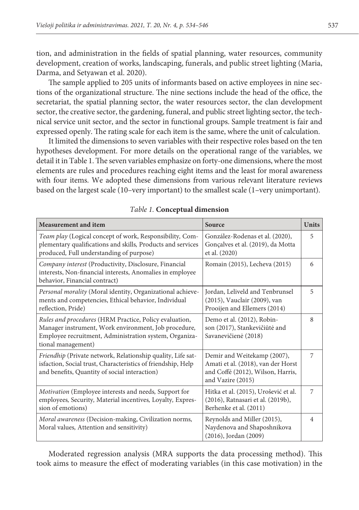tion, and administration in the fields of spatial planning, water resources, community development, creation of works, landscaping, funerals, and public street lighting (Maria, Darma, and Setyawan et al. 2020).

The sample applied to 205 units of informants based on active employees in nine sections of the organizational structure. The nine sections include the head of the office, the secretariat, the spatial planning sector, the water resources sector, the clan development sector, the creative sector, the gardening, funeral, and public street lighting sector, the technical service unit sector, and the sector in functional groups. Sample treatment is fair and expressed openly. The rating scale for each item is the same, where the unit of calculation.

It limited the dimensions to seven variables with their respective roles based on the ten hypotheses development. For more details on the operational range of the variables, we detail it in Table 1. The seven variables emphasize on forty-one dimensions, where the most elements are rules and procedures reaching eight items and the least for moral awareness with four items. We adopted these dimensions from various relevant literature reviews based on the largest scale (10–very important) to the smallest scale (1–very unimportant).

| <b>Measurement and item</b>                                                                                                                                                                    | Source                                                                                                                      | <b>Units</b>   |
|------------------------------------------------------------------------------------------------------------------------------------------------------------------------------------------------|-----------------------------------------------------------------------------------------------------------------------------|----------------|
| Team play (Logical concept of work, Responsibility, Com-<br>plementary qualifications and skills, Products and services<br>produced, Full understanding of purpose)                            | González-Rodenas et al. (2020),<br>Gonçalves et al. (2019), da Motta<br>et al. (2020)                                       | 5              |
| Company interest (Productivity, Disclosure, Financial<br>interests, Non-financial interests, Anomalies in employee<br>behavior, Financial contract)                                            | Romain (2015), Lecheva (2015)                                                                                               | 6              |
| Personal morality (Moral identity, Organizational achieve-<br>ments and competencies, Ethical behavior, Individual<br>reflection, Pride)                                                       | Jordan, Leliveld and Tenbrunsel<br>(2015), Vauclair (2009), van<br>Prooijen and Ellemers (2014)                             | 5              |
| Rules and procedures (HRM Practice, Policy evaluation,<br>Manager instrument, Work environment, Job procedure,<br>Employee recruitment, Administration system, Organiza-<br>tional management) | Demo et al. (2012), Robin-<br>son (2017), Stankevičiūtė and<br>Savanevičienė (2018)                                         | 8              |
| Friendhip (Private network, Relationship quality, Life sat-<br>isfaction, Social trust, Characteristics of friendship, Help<br>and benefits, Quantity of social interaction)                   | Demir and Weitekamp (2007),<br>Amati et al. (2018), van der Horst<br>and Coffé (2012), Wilson, Harris,<br>and Vazire (2015) | 7              |
| Motivation (Employee interests and needs, Support for<br>employees, Security, Material incentives, Loyalty, Expres-<br>sion of emotions)                                                       | Hitka et al. (2015), Urošević et al.<br>(2016), Ratnasari et al. (2019b),<br>Berhenke et al. (2011)                         | 7              |
| Moral awareness (Decision-making, Civilization norms,<br>Moral values, Attention and sensitivity)                                                                                              | Reynolds and Miller (2015),<br>Naydenova and Shaposhnikova<br>$(2016)$ , Jordan $(2009)$                                    | $\overline{4}$ |

*Table 1.* **Conceptual dimension**

Moderated regression analysis (MRA supports the data processing method). This took aims to measure the effect of moderating variables (in this case motivation) in the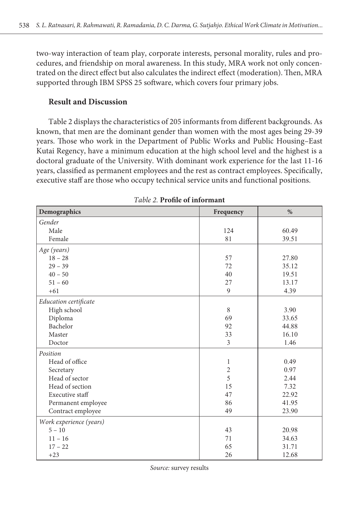two-way interaction of team play, corporate interests, personal morality, rules and procedures, and friendship on moral awareness. In this study, MRA work not only concentrated on the direct effect but also calculates the indirect effect (moderation). Then, MRA supported through IBM SPSS 25 software, which covers four primary jobs.

# **Result and Discussion**

Table 2 displays the characteristics of 205 informants from different backgrounds. As known, that men are the dominant gender than women with the most ages being 29-39 years. Those who work in the Department of Public Works and Public Housing–East Kutai Regency, have a minimum education at the high school level and the highest is a doctoral graduate of the University. With dominant work experience for the last 11-16 years, classified as permanent employees and the rest as contract employees. Specifically, executive staff are those who occupy technical service units and functional positions.

| Demographics            | Frequency      | $\%$  |
|-------------------------|----------------|-------|
| Gender                  |                |       |
| Male                    | 124            | 60.49 |
| Female                  | 81             | 39.51 |
| Age (years)             |                |       |
| $18 - 28$               | 57             | 27.80 |
| $29 - 39$               | 72             | 35.12 |
| $40 - 50$               | 40             | 19.51 |
| $51 - 60$               | 27             | 13.17 |
| $+61$                   | 9              | 4.39  |
| Education certificate   |                |       |
| High school             | 8              | 3.90  |
| Diploma                 | 69             | 33.65 |
| Bachelor                | 92             | 44.88 |
| Master                  | 33             | 16.10 |
| Doctor                  | 3              | 1.46  |
| Position                |                |       |
| Head of office          | 1              | 0.49  |
| Secretary               | $\overline{2}$ | 0.97  |
| Head of sector          | 5              | 2.44  |
| Head of section         | 15             | 7.32  |
| Executive staff         | 47             | 22.92 |
| Permanent employee      | 86             | 41.95 |
| Contract employee       | 49             | 23.90 |
| Work experience (years) |                |       |
| $5 - 10$                | 43             | 20.98 |
| $11 - 16$               | 71             | 34.63 |
| $17 - 22$               | 65             | 31.71 |
| $+23$                   | 26             | 12.68 |

*Table 2.* **Profile of informant**

*Source:* survey results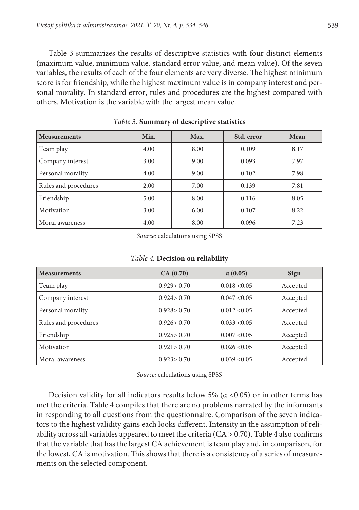Table 3 summarizes the results of descriptive statistics with four distinct elements (maximum value, minimum value, standard error value, and mean value). Of the seven variables, the results of each of the four elements are very diverse. The highest minimum score is for friendship, while the highest maximum value is in company interest and personal morality. In standard error, rules and procedures are the highest compared with others. Motivation is the variable with the largest mean value.

| <b>Measurements</b>  | Min. | Max. | Std. error | Mean |
|----------------------|------|------|------------|------|
| Team play            | 4.00 | 8.00 | 0.109      | 8.17 |
| Company interest     | 3.00 | 9.00 | 0.093      | 7.97 |
| Personal morality    | 4.00 | 9.00 | 0.102      | 7.98 |
| Rules and procedures | 2.00 | 7.00 | 0.139      | 7.81 |
| Friendship           | 5.00 | 8.00 | 0.116      | 8.05 |
| Motivation           | 3.00 | 6.00 | 0.107      | 8.22 |
| Moral awareness      | 4.00 | 8.00 | 0.096      | 7.23 |

*Table 3.* **Summary of descriptive statistics**

*Source:* calculations using SPSS

| <b>Measurements</b>  | CA(0.70)     | $\alpha(0.05)$   | Sign     |
|----------------------|--------------|------------------|----------|
| Team play            | 0.929 > 0.70 | 0.018 < 0.05     | Accepted |
| Company interest     | 0.924 > 0.70 | $0.047 \le 0.05$ | Accepted |
| Personal morality    | 0.928 > 0.70 | $0.012 \le 0.05$ | Accepted |
| Rules and procedures | 0.926 > 0.70 | 0.033 < 0.05     | Accepted |
| Friendship           | 0.925 > 0.70 | 0.007 < 0.05     | Accepted |
| Motivation           | 0.921 > 0.70 | $0.026 \le 0.05$ | Accepted |
| Moral awareness      | 0.923 > 0.70 | 0.039 < 0.05     | Accepted |

## *Table 4.* **Decision on reliability**

*Source:* calculations using SPSS

Decision validity for all indicators results below 5% ( $\alpha$  <0.05) or in other terms has met the criteria. Table 4 compiles that there are no problems narrated by the informants in responding to all questions from the questionnaire. Comparison of the seven indicators to the highest validity gains each looks different. Intensity in the assumption of reliability across all variables appeared to meet the criteria  $(CA > 0.70)$ . Table 4 also confirms that the variable that has the largest CA achievement is team play and, in comparison, for the lowest, CA is motivation. This shows that there is a consistency of a series of measurements on the selected component.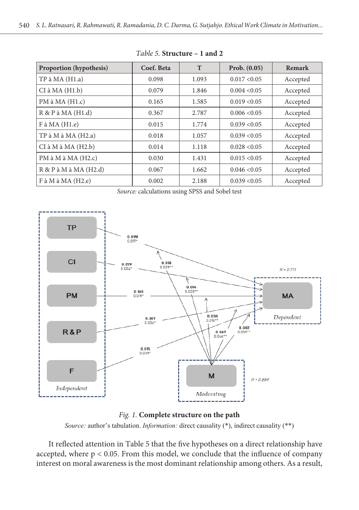| <b>Proportion</b> (hypothesis)   | Coef. Beta | T     | Prob. $(0.05)$   | Remark   |
|----------------------------------|------------|-------|------------------|----------|
| $TP \land MA(H1.a)$              | 0.098      | 1.093 | 0.017 < 0.05     | Accepted |
| $CI \land MA(H1.b)$              | 0.079      | 1.846 | 0.004 < 0.05     | Accepted |
| PM à MA (H1.c)                   | 0.165      | 1.585 | 0.019 < 0.05     | Accepted |
| $R \& P \land MA (H1.d)$         | 0.367      | 2.787 | $0.006 \le 0.05$ | Accepted |
| $F \land MA(H1.e)$               | 0.015      | 1.774 | 0.039 < 0.05     | Accepted |
| TP à M à MA (H2.a)               | 0.018      | 1.057 | 0.039 < 0.05     | Accepted |
| $CI$ à $M$ à $MA$ $(H2.b)$       | 0.014      | 1.118 | 0.028 < 0.05     | Accepted |
| $PM \land M \land MA (H2.c)$     | 0.030      | 1.431 | 0.015 < 0.05     | Accepted |
| $R \& P \land M \land MA (H2.d)$ | 0.067      | 1.662 | 0.046 < 0.05     | Accepted |
| $F$ à M à MA (H2.e)              | 0.002      | 2.188 | 0.039 < 0.05     | Accepted |

Table 5. **Structure – 1 and 2** 

**Proportion (hypothesis) Coef. Beta T Prob. (0.05) Remark** 







*Source:* author's tabulation. *Information:* direct causality (\*), indirect causality (\*\*)

interest on moral awareness is the most dominant relationship among others. As a result, It reflected attention in Table 5 that the five hypotheses on a direct relationship have accepted, where  $p < 0.05$ . From this model, we conclude that the influence of company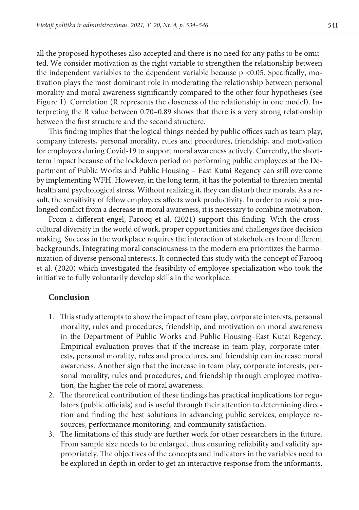all the proposed hypotheses also accepted and there is no need for any paths to be omitted. We consider motivation as the right variable to strengthen the relationship between the independent variables to the dependent variable because p <0.05. Specifically, motivation plays the most dominant role in moderating the relationship between personal morality and moral awareness significantly compared to the other four hypotheses (see Figure 1). Correlation (R represents the closeness of the relationship in one model). Interpreting the R value between 0.70–0.89 shows that there is a very strong relationship between the first structure and the second structure.

This finding implies that the logical things needed by public offices such as team play, company interests, personal morality, rules and procedures, friendship, and motivation for employees during Covid-19 to support moral awareness actively. Currently, the shortterm impact because of the lockdown period on performing public employees at the Department of Public Works and Public Housing – East Kutai Regency can still overcome by implementing WFH. However, in the long term, it has the potential to threaten mental health and psychological stress. Without realizing it, they can disturb their morals. As a result, the sensitivity of fellow employees affects work productivity. In order to avoid a prolonged conflict from a decrease in moral awareness, it is necessary to combine motivation.

From a different engel, Farooq et al. (2021) support this finding. With the crosscultural diversity in the world of work, proper opportunities and challenges face decision making. Success in the workplace requires the interaction of stakeholders from different backgrounds. Integrating moral consciousness in the modern era prioritizes the harmonization of diverse personal interests. It connected this study with the concept of Farooq et al. (2020) which investigated the feasibility of employee specialization who took the initiative to fully voluntarily develop skills in the workplace.

# **Conclusion**

- 1. This study attempts to show the impact of team play, corporate interests, personal morality, rules and procedures, friendship, and motivation on moral awareness in the Department of Public Works and Public Housing–East Kutai Regency. Empirical evaluation proves that if the increase in team play, corporate interests, personal morality, rules and procedures, and friendship can increase moral awareness. Another sign that the increase in team play, corporate interests, personal morality, rules and procedures, and friendship through employee motivation, the higher the role of moral awareness.
- 2. The theoretical contribution of these findings has practical implications for regulators (public officials) and is useful through their attention to determining direction and finding the best solutions in advancing public services, employee resources, performance monitoring, and community satisfaction.
- 3. The limitations of this study are further work for other researchers in the future. From sample size needs to be enlarged, thus ensuring reliability and validity appropriately. The objectives of the concepts and indicators in the variables need to be explored in depth in order to get an interactive response from the informants.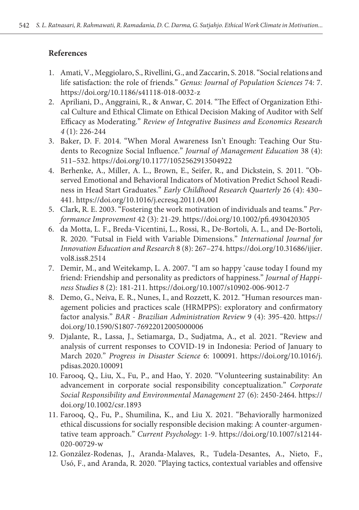# **References**

- 1. Amati, V., Meggiolaro, S., Rivellini, G., and Zaccarin, S. 2018. "Social relations and life satisfaction: the role of friends." *Genus: Journal of Population Sciences* 74: 7. https://doi.org/10.1186/s41118-018-0032-z
- 2. Apriliani, D., Anggraini, R., & Anwar, C. 2014. "The Effect of Organization Ethical Culture and Ethical Climate on Ethical Decision Making of Auditor with Self Efficacy as Moderating." *Review of Integrative Business and Economics Research 4* (1): 226-244
- 3. Baker, D. F. 2014. "When Moral Awareness Isn't Enough: Teaching Our Students to Recognize Social Influence." *Journal of Management Education* 38 (4): 511–532. https://doi.org/10.1177/1052562913504922
- 4. Berhenke, A., Miller, A. L., Brown, E., Seifer, R., and Dickstein, S. 2011. "Observed Emotional and Behavioral Indicators of Motivation Predict School Readiness in Head Start Graduates." *Early Childhood Research Quarterly* 26 (4): 430– 441. https://doi.org/10.1016/j.ecresq.2011.04.001
- 5. Clark, R. E. 2003. "Fostering the work motivation of individuals and teams." *Performance Improvement* 42 (3): 21-29. https://doi.org/10.1002/pfi.4930420305
- 6. da Motta, L. F., Breda-Vicentini, L., Rossi, R., De-Bortoli, A. L., and De-Bortoli, R. 2020. "Futsal in Field with Variable Dimensions." *International Journal for Innovation Education and Research* 8 (8): 267–274. https://doi.org/10.31686/ijier. vol8.iss8.2514
- 7. Demir, M., and Weitekamp, L. A. 2007. "I am so happy 'cause today I found my friend: Friendship and personality as predictors of happiness." *Journal of Happiness Studies* 8 (2): 181-211. https://doi.org/10.1007/s10902-006-9012-7
- 8. Demo, G., Neiva, E. R., Nunes, I., and Rozzett, K. 2012. "Human resources management policies and practices scale (HRMPPS): exploratory and confirmatory factor analysis." *BAR - Brazilian Administration Review* 9 (4): 395-420. https:// doi.org/10.1590/S1807-76922012005000006
- 9. Djalante, R., Lassa, J., Setiamarga, D., Sudjatma, A., et al. 2021. "Review and analysis of current responses to COVID-19 in Indonesia: Period of January to March 2020." *Progress in Disaster Science* 6: 100091. https://doi.org/10.1016/j. pdisas.2020.100091
- 10. Farooq, Q., Liu, X., Fu, P., and Hao, Y. 2020. "Volunteering sustainability: An advancement in corporate social responsibility conceptualization." *Corporate Social Responsibility and Environmental Management* 27 (6): 2450-2464. https:// doi.org/10.1002/csr.1893
- 11. Farooq, Q., Fu, P., Shumilina, K., and Liu X. 2021. "Behaviorally harmonized ethical discussions for socially responsible decision making: A counter-argumentative team approach." *Current Psychology*: 1-9. https://doi.org/10.1007/s12144- 020-00729-w
- 12. González-Rodenas, J., Aranda-Malaves, R., Tudela-Desantes, A., Nieto, F., Usó, F., and Aranda, R. 2020. "Playing tactics, contextual variables and offensive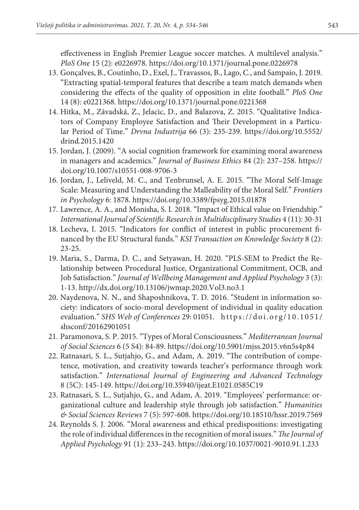effectiveness in English Premier League soccer matches. A multilevel analysis." *PloS One* 15 (2): e0226978. https://doi.org/10.1371/journal.pone.0226978

- 13. Gonçalves, B., Coutinho, D., Exel, J., Travassos, B., Lago, C., and Sampaio, J. 2019. "Extracting spatial-temporal features that describe a team match demands when considering the effects of the quality of opposition in elite football." *PloS One* 14 (8): e0221368. https://doi.org/10.1371/journal.pone.0221368
- 14. Hitka, M., Závadská, Z., Jelacic, D., and Balazova, Z. 2015. "Qualitative Indicators of Company Employee Satisfaction and Their Development in a Particular Period of Time." *Drvna Industrija* 66 (3): 235-239. https://doi.org/10.5552/ drind.2015.1420
- 15. Jordan, J. (2009). "A social cognition framework for examining moral awareness in managers and academics." *Journal of Business Ethics* 84 (2): 237–258. https:// doi.org/10.1007/s10551-008-9706-3
- 16. Jordan, J., Leliveld, M. C., and Tenbrunsel, A. E. 2015. "The Moral Self-Image Scale: Measuring and Understanding the Malleability of the Moral Self." *Frontiers in Psychology* 6: 1878. https://doi.org/10.3389/fpsyg.2015.01878
- 17. Lawrence, A. A., and Monisha, S. I. 2018. "Impact of Ethical value on Friendship." *International Journal of Scientific Research in Multidisciplinary Studies* 4 (11): 30-31
- 18. Lecheva, I. 2015. "Indicators for conflict of interest in public procurement financed by the EU Structural funds." *KSI Transaction on Knowledge Society* 8 (2): 23-25.
- 19. Maria, S., Darma, D. C., and Setyawan, H. 2020. "PLS-SEM to Predict the Relationship between Procedural Justice, Organizational Commitment, OCB, and Job Satisfaction." *Journal of Wellbeing Management and Applied Psychology* 3 (3): 1-13. http://dx.doi.org/10.13106/jwmap.2020.Vol3.no3.1
- 20. Naydenova, N. N., and Shaposhnikova, T. D. 2016. "Student in information society: indicators of socio-moral development of individual in quality education evaluation." *SHS Web of Conferences* 29: 01051. https://doi.org/10.1051/ shsconf/20162901051
- 21. Paramonova, S. P. 2015. "Types of Moral Consciousness." *Mediterranean Journal of Social Sciences* 6 (5 S4): 84-89. https://doi.org/10.5901/mjss.2015.v6n5s4p84
- 22. Ratnasari, S. L., Sutjahjo, G., and Adam, A. 2019. "The contribution of competence, motivation, and creativity towards teacher's performance through work satisfaction." *International Journal of Engineering and Advanced Technology* 8 (5C): 145-149. https://doi.org/10.35940/ijeat.E1021.0585C19
- 23. Ratnasari, S. L., Sutjahjo, G., and Adam, A. 2019. "Employees' performance: organizational culture and leadership style through job satisfaction." *Humanities & Social Sciences Reviews* 7 (5): 597-608. https://doi.org/10.18510/hssr.2019.7569
- 24. Reynolds S. J. 2006. "Moral awareness and ethical predispositions: investigating the role of individual differences in the recognition of moral issues." *The Journal of Applied Psychology* 91 (1): 233–243. https://doi.org/10.1037/0021-9010.91.1.233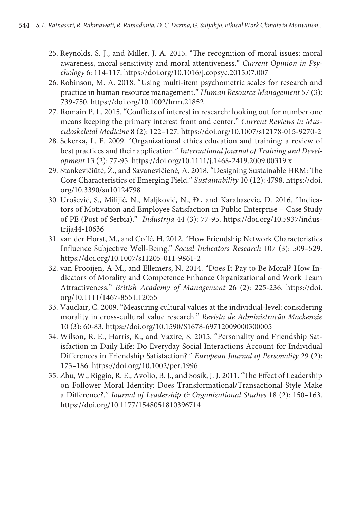- 25. Reynolds, S. J., and Miller, J. A. 2015. "The recognition of moral issues: moral awareness, moral sensitivity and moral attentiveness." *Current Opinion in Psychology* 6: 114-117. https://doi.org/10.1016/j.copsyc.2015.07.007
- 26. Robinson, M. A. 2018. "Using multi-item psychometric scales for research and practice in human resource management." *Human Resource Management* 57 (3): 739-750. https://doi.org/10.1002/hrm.21852
- 27. Romain P. L. 2015. "Conflicts of interest in research: looking out for number one means keeping the primary interest front and center." *Current Reviews in Musculoskeletal Medicine* 8 (2): 122–127. https://doi.org/10.1007/s12178-015-9270-2
- 28. Sekerka, L. E. 2009. "Organizational ethics education and training: a review of best practices and their application." *International Journal of Training and Development* 13 (2): 77-95. https://doi.org/10.1111/j.1468-2419.2009.00319.x
- 29. Stankevičiūtė, Ž., and Savanevičienė, A. 2018. "Designing Sustainable HRM: The Core Characteristics of Emerging Field." *Sustainability* 10 (12): 4798. https://doi. org/10.3390/su10124798
- 30. Urošević, S., Milijić, N., Maljković, N., Đ., and Karabasevic, D. 2016. "Indicators of Motivation and Employee Satisfaction in Public Enterprise – Case Study of PE (Post of Serbia)." *Industrija* 44 (3): 77-95. https://doi.org/10.5937/industrija44-10636
- 31. van der Horst, M., and Coffé, H. 2012. "How Friendship Network Characteristics Influence Subjective Well-Being." *Social Indicators Research* 107 (3): 509–529. https://doi.org/10.1007/s11205-011-9861-2
- 32. van Prooijen, A-M., and Ellemers, N. 2014. "Does It Pay to Be Moral? How Indicators of Morality and Competence Enhance Organizational and Work Team Attractiveness." *British Academy of Management* 26 (2): 225-236. https://doi. org/10.1111/1467-8551.12055
- 33. Vauclair, C. 2009. "Measuring cultural values at the individual-level: considering morality in cross-cultural value research." *Revista de Administração Mackenzie* 10 (3): 60-83. https://doi.org/10.1590/S1678-69712009000300005
- 34. Wilson, R. E., Harris, K., and Vazire, S. 2015. "Personality and Friendship Satisfaction in Daily Life: Do Everyday Social Interactions Account for Individual Differences in Friendship Satisfaction?." *European Journal of Personality* 29 (2): 173–186. https://doi.org/10.1002/per.1996
- 35. Zhu, W., Riggio, R. E., Avolio, B. J., and Sosik, J. J. 2011. "The Effect of Leadership on Follower Moral Identity: Does Transformational/Transactional Style Make a Difference?." *Journal of Leadership & Organizational Studies* 18 (2): 150–163. https://doi.org/10.1177/1548051810396714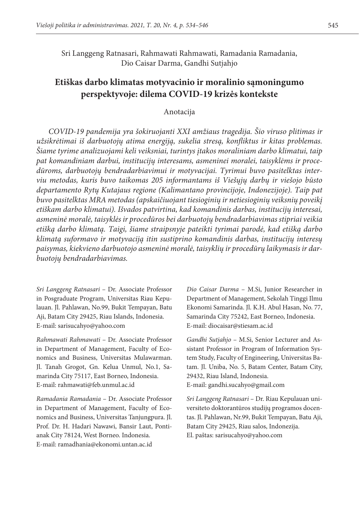Sri Langgeng Ratnasari, Rahmawati Rahmawati, Ramadania Ramadania, Dio Caisar Darma, Gandhi Sutjahjo

# **Etiškas darbo klimatas motyvacinio ir moralinio sąmoningumo perspektyvoje: dilema COVID-19 krizės kontekste**

#### Anotacija

*COVID-19 pandemija yra šokiruojanti XXI amžiaus tragedija. Šio viruso plitimas ir užsikrėtimai iš darbuotojų atima energiją, sukelia stresą, konfliktus ir kitas problemas. Šiame tyrime analizuojami keli veiksniai, turintys įtakos moraliniam darbo klimatui, taip pat komandiniam darbui, institucijų interesams, asmeninei moralei, taisyklėms ir procedūroms, darbuotojų bendradarbiavimui ir motyvacijai. Tyrimui buvo pasitelktas interviu metodas, kuris buvo taikomas 205 informantams iš Viešųjų darbų ir viešojo būsto departamento Rytų Kutajaus regione (Kalimantano provincijoje, Indonezijoje). Taip pat buvo pasitelktas MRA metodas (apskaičiuojant tiesioginių ir netiesioginių veiksnių poveikį etiškam darbo klimatui). Išvados patvirtina, kad komandinis darbas, institucijų interesai, asmeninė moralė, taisyklės ir procedūros bei darbuotojų bendradarbiavimas stipriai veikia etišką darbo klimatą. Taigi, šiame straipsnyje pateikti tyrimai parodė, kad etišką darbo klimatą suformavo ir motyvaciją itin sustiprino komandinis darbas, institucijų interesų paisymas, kiekvieno darbuotojo asmeninė moralė, taisyklių ir procedūrų laikymasis ir darbuotojų bendradarbiavimas.* 

*Sri Langgeng Ratnasari* – Dr. Associate Professor in Posgraduate Program, Universitas Riau Kepulauan. Jl. Pahlawan, No.99, Bukit Tempayan, Batu Aji, Batam City 29425, Riau Islands, Indonesia. E-mail: sarisucahyo@yahoo.com

*Rahmawati Rahmawati* – Dr. Associate Professor in Department of Management, Faculty of Economics and Business, Universitas Mulawarman. Jl. Tanah Grogot, Gn. Kelua Unmul, No.1, Samarinda City 75117, East Borneo, Indonesia. E-mail: rahmawati@feb.unmul.ac.id

*Ramadania Ramadania* – Dr. Associate Professor in Department of Management, Faculty of Economics and Business, Universitas Tanjungpura. Jl. Prof. Dr. H. Hadari Nawawi, Bansir Laut, Pontianak City 78124, West Borneo. Indonesia. E-mail: ramadhania@ekonomi.untan.ac.id

*Dio Caisar Darma* – M.Si, Junior Researcher in Department of Management, Sekolah Tinggi Ilmu Ekonomi Samarinda. Jl. K.H. Abul Hasan, No. 77, Samarinda City 75242, East Borneo, Indonesia. E-mail: diocaisar@stiesam.ac.id

*Gandhi Sutjahjo* – M.Si, Senior Lecturer and Assistant Professor in Program of Information System Study, Faculty of Engineering, Universitas Batam. Jl. Uniba, No. 5, Batam Center, Batam City, 29432, Riau Island, Indonesia. E-mail: gandhi.sucahyo@gmail.com

*Sri Langgeng Ratnasari* – Dr. Riau Kepulauan universiteto doktorantūros studijų programos docentas. Jl. Pahlawan, Nr.99, Bukit Tempayan, Batu Aji, Batam City 29425, Riau salos, Indonezija. El. paštas: sarisucahyo@yahoo.com